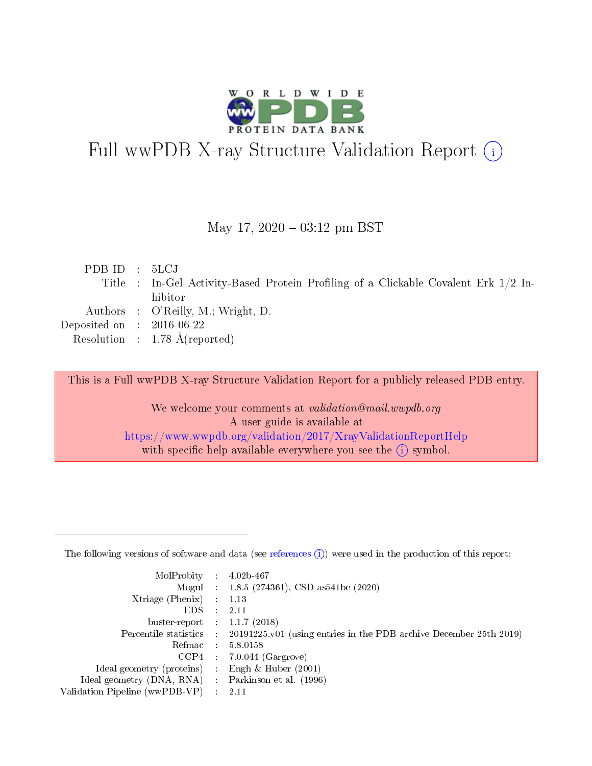

# Full wwPDB X-ray Structure Validation Report (i)

#### May 17,  $2020 - 03:12$  pm BST

| PDBID : 5LCJ                |                                                                                     |
|-----------------------------|-------------------------------------------------------------------------------------|
|                             | Title : In-Gel Activity-Based Protein Profiling of a Clickable Covalent Erk 1/2 In- |
|                             | hibitor                                                                             |
|                             | Authors : O'Reilly, M.; Wright, D.                                                  |
| Deposited on : $2016-06-22$ |                                                                                     |
|                             | Resolution : $1.78 \text{ Å}$ (reported)                                            |
|                             |                                                                                     |

This is a Full wwPDB X-ray Structure Validation Report for a publicly released PDB entry.

We welcome your comments at validation@mail.wwpdb.org A user guide is available at <https://www.wwpdb.org/validation/2017/XrayValidationReportHelp> with specific help available everywhere you see the  $(i)$  symbol.

The following versions of software and data (see [references](https://www.wwpdb.org/validation/2017/XrayValidationReportHelp#references)  $(1)$ ) were used in the production of this report:

| MolProbity :                   |               | $4.02b - 467$                                                               |
|--------------------------------|---------------|-----------------------------------------------------------------------------|
|                                |               | Mogul : $1.8.5$ (274361), CSD as 541be (2020)                               |
| Xtriage (Phenix)               | $\mathcal{L}$ | 1.13                                                                        |
| EDS.                           |               | 2.11                                                                        |
| buster-report : $1.1.7$ (2018) |               |                                                                             |
| Percentile statistics :        |               | $20191225 \text{v}01$ (using entries in the PDB archive December 25th 2019) |
| Refmac :                       |               | 5.8.0158                                                                    |
| CCP4                           |               | $7.0.044$ (Gargrove)                                                        |
| Ideal geometry (proteins) :    |               | Engh $\&$ Huber (2001)                                                      |
| Ideal geometry (DNA, RNA) :    |               | Parkinson et al. (1996)                                                     |
| Validation Pipeline (wwPDB-VP) | $\mathcal{L}$ | 2.11                                                                        |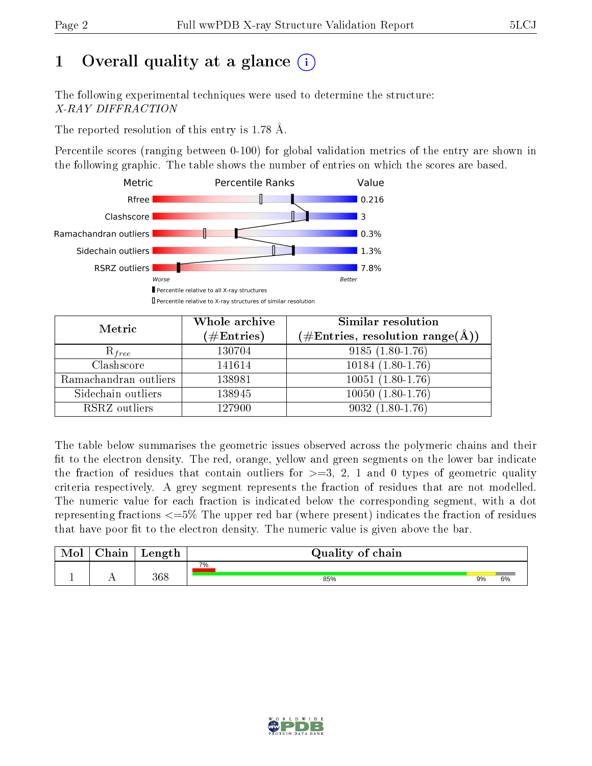# 1 [O](https://www.wwpdb.org/validation/2017/XrayValidationReportHelp#overall_quality)verall quality at a glance  $(i)$

The following experimental techniques were used to determine the structure: X-RAY DIFFRACTION

The reported resolution of this entry is 1.78 Å.

Percentile scores (ranging between 0-100) for global validation metrics of the entry are shown in the following graphic. The table shows the number of entries on which the scores are based.



| Metric                | Whole archive<br>$(\#\mathrm{Entries})$ | Similar resolution<br>$(\#\text{Entries},\,\text{resolution}\,\,\text{range}(\textup{\AA}))$ |
|-----------------------|-----------------------------------------|----------------------------------------------------------------------------------------------|
| $R_{free}$            | 130704                                  | $9185(1.80-1.76)$                                                                            |
| Clashscore            | 141614                                  | $10184(1.80-1.76)$                                                                           |
| Ramachandran outliers | 138981                                  | $10051(1.80-1.76)$                                                                           |
| Sidechain outliers    | 138945                                  | $10050(1.80-1.76)$                                                                           |
| RSRZ outliers         | 127900                                  | $9032(1.80-1.76)$                                                                            |

The table below summarises the geometric issues observed across the polymeric chains and their fit to the electron density. The red, orange, yellow and green segments on the lower bar indicate the fraction of residues that contain outliers for  $>=3, 2, 1$  and 0 types of geometric quality criteria respectively. A grey segment represents the fraction of residues that are not modelled. The numeric value for each fraction is indicated below the corresponding segment, with a dot representing fractions  $\epsilon=5\%$  The upper red bar (where present) indicates the fraction of residues that have poor fit to the electron density. The numeric value is given above the bar.

| Mol           | hain       | Length | Quality of chain |    |    |
|---------------|------------|--------|------------------|----|----|
|               |            |        | 7%               |    |    |
| <u>. на п</u> | <u>. .</u> | 368    | 85%              | 9% | 6% |

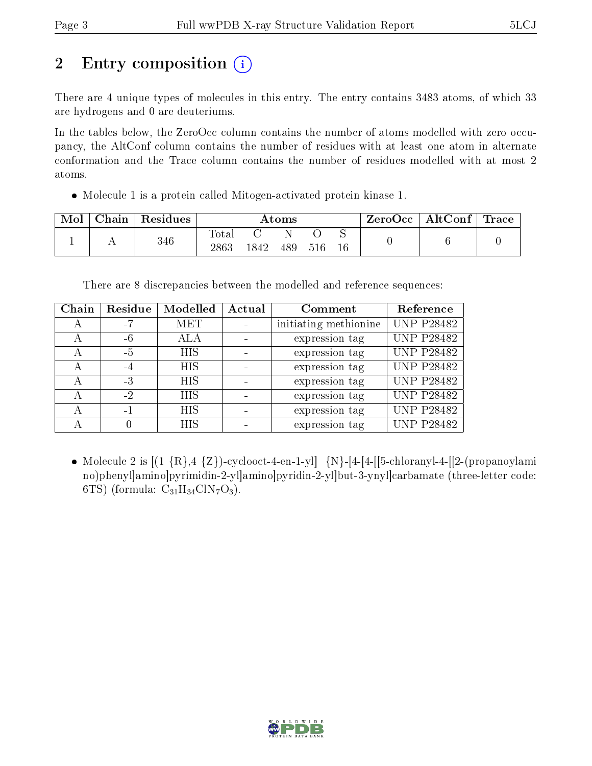# 2 Entry composition  $\left( \cdot \right)$

There are 4 unique types of molecules in this entry. The entry contains 3483 atoms, of which 33 are hydrogens and 0 are deuteriums.

In the tables below, the ZeroOcc column contains the number of atoms modelled with zero occupancy, the AltConf column contains the number of residues with at least one atom in alternate conformation and the Trace column contains the number of residues modelled with at most 2 atoms.

Molecule 1 is a protein called Mitogen-activated protein kinase 1.

| Mol | Chain | Residues | Atoms         |      |     |  | $\text{ZeroOcc} \mid \text{AltConf} \mid \text{Trace}$ |  |  |
|-----|-------|----------|---------------|------|-----|--|--------------------------------------------------------|--|--|
|     |       | 346      | Tota.<br>2863 | 1842 | 489 |  | 16                                                     |  |  |

There are 8 discrepancies between the modelled and reference sequences:

| Chain | Residue | Modelled   | Actual | Comment               | Reference         |
|-------|---------|------------|--------|-----------------------|-------------------|
| А     | -7      | <b>MET</b> |        | initiating methionine | <b>UNP P28482</b> |
| А     | -6      | ALA        |        | expression tag        | <b>UNP P28482</b> |
| А     | $-5$    | <b>HIS</b> |        | expression tag        | <b>UNP P28482</b> |
| А     | $-4$    | <b>HIS</b> |        | expression tag        | <b>UNP P28482</b> |
| А     | $-3$    | <b>HIS</b> |        | expression tag        | <b>UNP P28482</b> |
| А     | $-2$    | <b>HIS</b> |        | expression tag        | <b>UNP P28482</b> |
| А     |         | <b>HIS</b> |        | expression tag        | <b>UNP P28482</b> |
| А     |         | <b>HIS</b> |        | expression tag        | <b>UNP P28482</b> |

• Molecule 2 is  $[(1 \{R\}, 4 \{Z\})$ -cyclooct-4-en-1-yl]  $\{N\}$ -[4-[4-[[5-chloranyl-4-[[2-(propanoylami no)phenyl]amino]pyrimidin-2-yl]amino]pyridin-2-yl]but-3-ynyl]carbamate (three-letter code: 6TS) (formula:  $C_{31}H_{34}CIN_7O_3$ ).

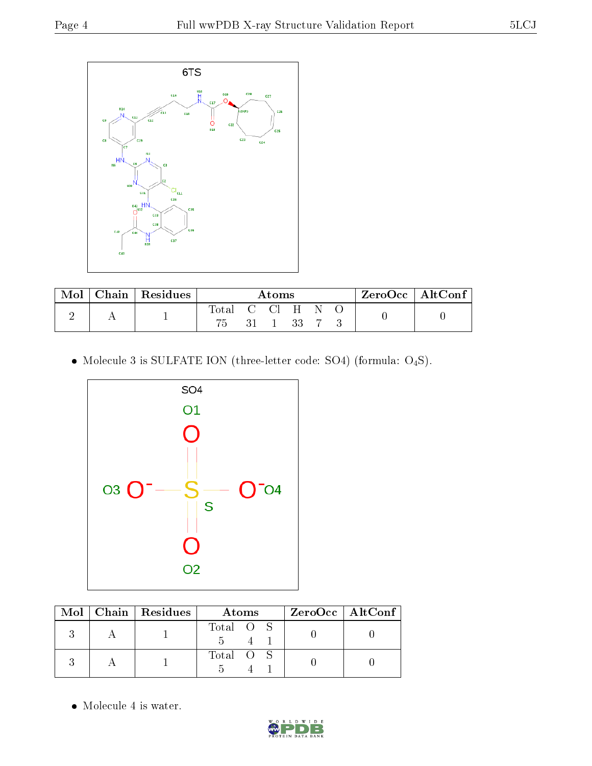

| Mol | Chain   Residues | $\rm{Atoms}$   |  |         |  | $\mathsf{ZeroOcc} \mid \mathsf{AltConf} \mid$ |  |  |  |
|-----|------------------|----------------|--|---------|--|-----------------------------------------------|--|--|--|
|     |                  | Total C Cl H N |  | 31 1 33 |  |                                               |  |  |  |

 $\bullet$  Molecule 3 is SULFATE ION (three-letter code: SO4) (formula:  $\mathrm{O}_4\mathrm{S}$ ).



|  | $\text{Mol}$   Chain   Residues | Atoms     | ZeroOcc   AltConf |
|--|---------------------------------|-----------|-------------------|
|  |                                 | Total O S |                   |
|  |                                 | Total O S |                   |

• Molecule 4 is water.

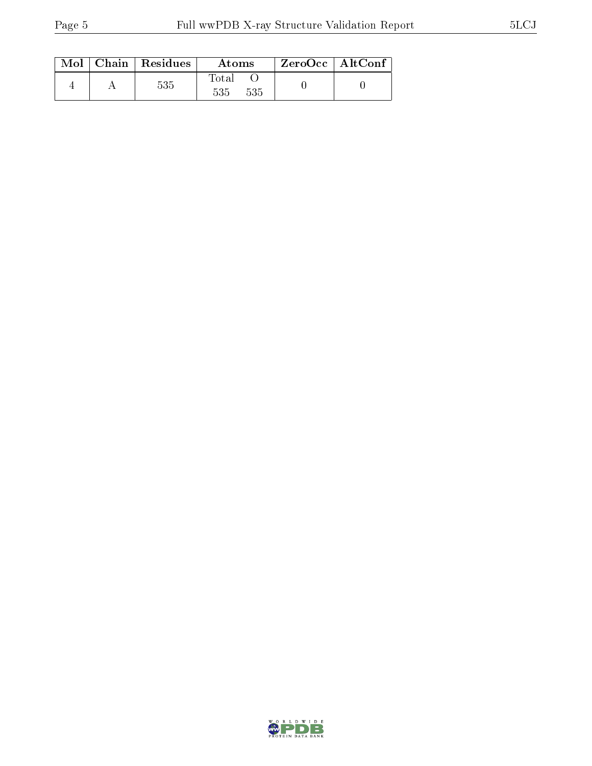|  | $\text{Mol}$   Chain   Residues | Atoms               | $\rm ZeroOcc$   AltConf |  |
|--|---------------------------------|---------------------|-------------------------|--|
|  | 535                             | Total<br>535<br>535 |                         |  |

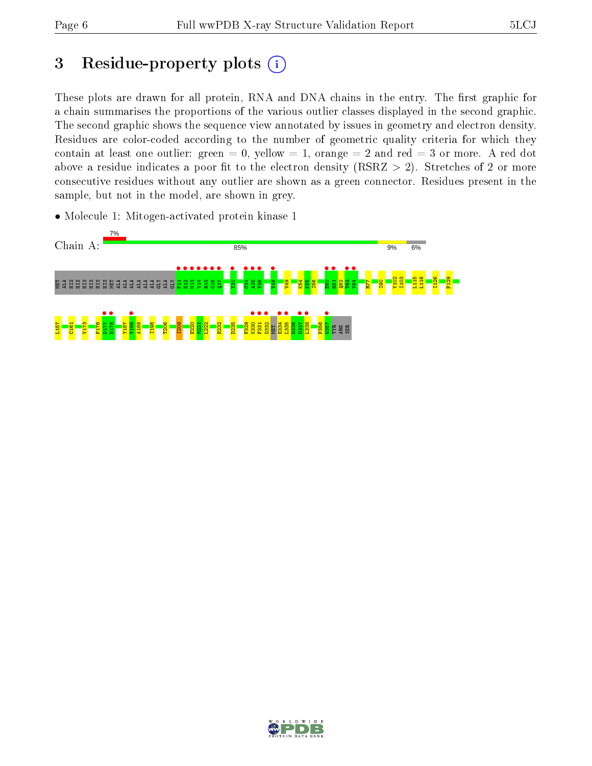# 3 Residue-property plots  $(i)$

These plots are drawn for all protein, RNA and DNA chains in the entry. The first graphic for a chain summarises the proportions of the various outlier classes displayed in the second graphic. The second graphic shows the sequence view annotated by issues in geometry and electron density. Residues are color-coded according to the number of geometric quality criteria for which they contain at least one outlier: green  $= 0$ , yellow  $= 1$ , orange  $= 2$  and red  $= 3$  or more. A red dot above a residue indicates a poor fit to the electron density (RSRZ  $> 2$ ). Stretches of 2 or more consecutive residues without any outlier are shown as a green connector. Residues present in the sample, but not in the model, are shown in grey.

• Molecule 1: Mitogen-activated protein kinase 1



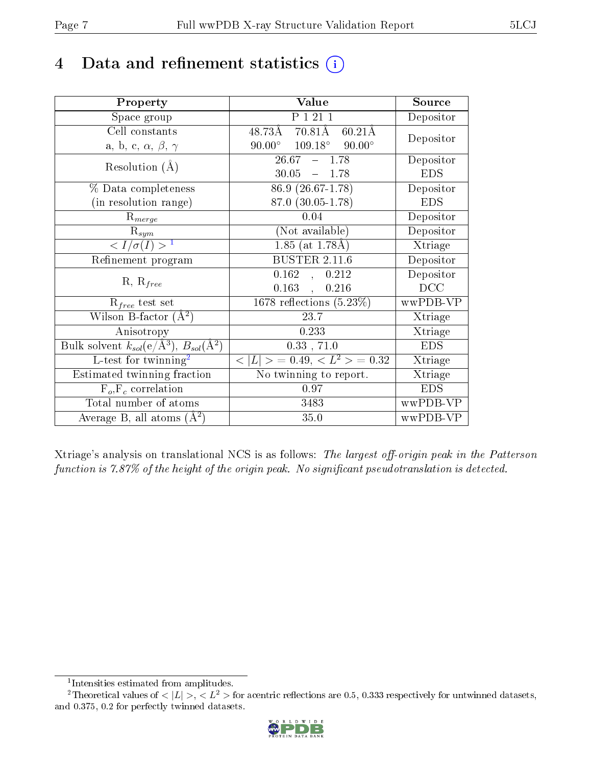# 4 Data and refinement statistics  $(i)$

| Property                                                         | Value                                              | Source     |
|------------------------------------------------------------------|----------------------------------------------------|------------|
| Space group                                                      | P 1 21 1                                           | Depositor  |
| Cell constants                                                   | $70.81\text{\AA}$<br>48.73Å<br>$60.21\text{\AA}$   | Depositor  |
| a, b, c, $\alpha$ , $\beta$ , $\gamma$                           | $109.18^\circ$<br>$90.00^\circ$<br>$90.00^{\circ}$ |            |
| Resolution $(A)$                                                 | $26.67 - 1.78$                                     | Depositor  |
|                                                                  | 30.05<br>$-1.78$                                   | <b>EDS</b> |
| % Data completeness                                              | 86.9 (26.67-1.78)                                  | Depositor  |
| (in resolution range)                                            | 87.0 (30.05-1.78)                                  | <b>EDS</b> |
| $R_{merge}$                                                      | 0.04                                               | Depositor  |
| $\mathrm{R}_{sym}$                                               | (Not available)                                    | Depositor  |
| $\langle I/\sigma(I) \rangle^{-1}$                               | $1.85$ (at 1.78Å)                                  | Xtriage    |
| Refinement program                                               | <b>BUSTER 2.11.6</b>                               | Depositor  |
| $R, R_{free}$                                                    | 0.162<br>, 0.212                                   | Depositor  |
|                                                                  | $0.163$ ,<br>0.216                                 | DCC        |
| $\mathcal{R}_{free}$ test set                                    | 1678 reflections $(5.23\%)$                        | wwPDB-VP   |
| Wilson B-factor $(A^2)$                                          | 23.7                                               | Xtriage    |
| Anisotropy                                                       | 0.233                                              | Xtriage    |
| Bulk solvent $k_{sol}(\text{e}/\text{A}^3), B_{sol}(\text{A}^2)$ | 0.33, 71.0                                         | <b>EDS</b> |
| L-test for $\mathrm{twinning}^2$                                 | $< L >$ = 0.49, $< L^2 >$ = 0.32                   | Xtriage    |
| Estimated twinning fraction                                      | $\overline{\text{No}}$ twinning to report.         | Xtriage    |
| $F_o, F_c$ correlation                                           | 0.97                                               | <b>EDS</b> |
| Total number of atoms                                            | 3483                                               | wwPDB-VP   |
| Average B, all atoms $(A^2)$                                     | 35.0                                               | wwPDB-VP   |

Xtriage's analysis on translational NCS is as follows: The largest off-origin peak in the Patterson function is  $7.87\%$  of the height of the origin peak. No significant pseudotranslation is detected.

<sup>&</sup>lt;sup>2</sup>Theoretical values of  $\langle |L| \rangle$ ,  $\langle L^2 \rangle$  for acentric reflections are 0.5, 0.333 respectively for untwinned datasets, and 0.375, 0.2 for perfectly twinned datasets.



<span id="page-6-1"></span><span id="page-6-0"></span><sup>1</sup> Intensities estimated from amplitudes.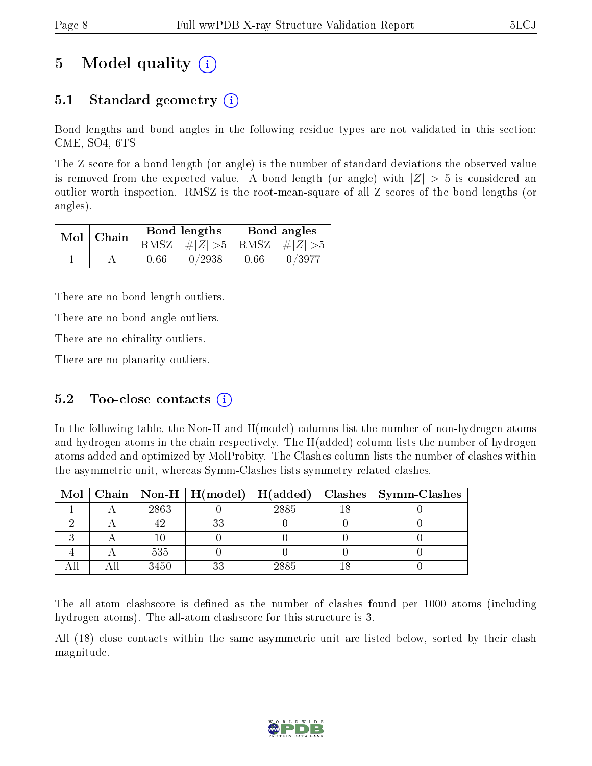# 5 Model quality  $(i)$

### 5.1 Standard geometry  $(i)$

Bond lengths and bond angles in the following residue types are not validated in this section: CME, SO4, 6TS

The Z score for a bond length (or angle) is the number of standard deviations the observed value is removed from the expected value. A bond length (or angle) with  $|Z| > 5$  is considered an outlier worth inspection. RMSZ is the root-mean-square of all Z scores of the bond lengths (or angles).

| $Mol$   Chain |      | Bond lengths                    | Bond angles |        |  |
|---------------|------|---------------------------------|-------------|--------|--|
|               |      | RMSZ $ #Z  > 5$ RMSZ $ #Z  > 5$ |             |        |  |
|               | 0.66 | 0/2938                          | 0.66        | 0/3977 |  |

There are no bond length outliers.

There are no bond angle outliers.

There are no chirality outliers.

There are no planarity outliers.

### 5.2 Too-close contacts  $(i)$

In the following table, the Non-H and H(model) columns list the number of non-hydrogen atoms and hydrogen atoms in the chain respectively. The H(added) column lists the number of hydrogen atoms added and optimized by MolProbity. The Clashes column lists the number of clashes within the asymmetric unit, whereas Symm-Clashes lists symmetry related clashes.

|  |      |      | Mol   Chain   Non-H   H(model)   H(added)   Clashes   Symm-Clashes |
|--|------|------|--------------------------------------------------------------------|
|  | 2863 | 2885 |                                                                    |
|  |      |      |                                                                    |
|  |      |      |                                                                    |
|  | 535  |      |                                                                    |
|  | 3450 | 2885 |                                                                    |

The all-atom clashscore is defined as the number of clashes found per 1000 atoms (including hydrogen atoms). The all-atom clashscore for this structure is 3.

All (18) close contacts within the same asymmetric unit are listed below, sorted by their clash magnitude.

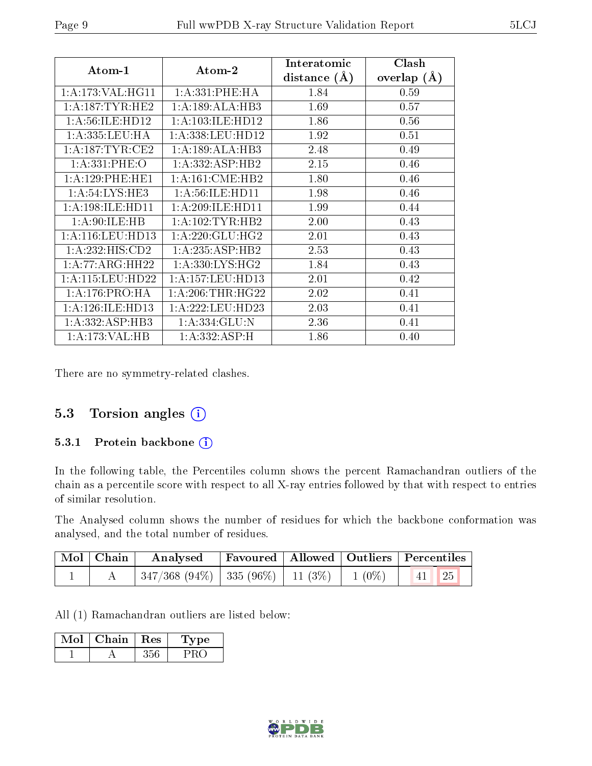| Atom-1               | Atom-2               | Interatomic<br>distance $(A)$ | Clash<br>overlap $(\AA)$ |
|----------------------|----------------------|-------------------------------|--------------------------|
| 1: A:173: VAL:HGI1   | 1: A:331: PHE: HA    | 1.84                          | 0.59                     |
| 1: A:187: TYR: HE2   | 1:A:189:ALA:HB3      | 1.69                          | 0.57                     |
| 1: A:56: ILE: HD12   | 1:A:103:ILE:HD12     | 1.86                          | 0.56                     |
| 1: A: 335: LEU: HA   | 1: A: 338: LEU: HD12 | 1.92                          | 0.51                     |
| 1: A: 187: TYR: CE2  | 1:A:189:ALA:HB3      | 2.48                          | 0.49                     |
| 1: A:331: PHE:O      | 1: A: 332: ASP: HB2  | 2.15                          | 0.46                     |
| 1:A:129:PHE:HE1      | 1: A:161: CME: HB2   | 1.80                          | 0.46                     |
| 1: A:54:LYS:HE3      | 1: A:56: ILE: HDI1   | 1.98                          | 0.46                     |
| 1:A:198:ILE:HD11     | 1: A:209: ILE: HDI1  | 1.99                          | 0.44                     |
| 1: A:90: ILE: HB     | 1: A: 102: TYR: HB2  | 2.00                          | 0.43                     |
| 1: A: 116: LEU: HD13 | 1: A:220: GLU: HG2   | 2.01                          | 0.43                     |
| 1:A:232:HIS:CD2      | 1: A: 235: ASP: HB2  | 2.53                          | 0.43                     |
| 1:A:77:ARG:HH22      | 1: A: 330: LYS: HG2  | 1.84                          | 0.43                     |
| 1: A: 115: LEU: HD22 | 1: A: 157: LEU: HD13 | 2.01                          | 0.42                     |
| 1:A:176:PRO:HA       | 1: A:206:THR:HG22    | 2.02                          | 0.41                     |
| 1:A:126:ILE:HD13     | 1: A:222:LEU:HD23    | 2.03                          | 0.41                     |
| 1:A:332:ASP:HB3      | 1: A: 334: GLU: N    | 2.36                          | 0.41                     |
| 1:A:173:VAL:HB       | 1:A:332:ASP:H        | 1.86                          | 0.40                     |

There are no symmetry-related clashes.

### 5.3 Torsion angles (i)

#### 5.3.1 Protein backbone (i)

In the following table, the Percentiles column shows the percent Ramachandran outliers of the chain as a percentile score with respect to all X-ray entries followed by that with respect to entries of similar resolution.

The Analysed column shows the number of residues for which the backbone conformation was analysed, and the total number of residues.

| Mol Chain |                                                                    | Analysed   Favoured   Allowed   Outliers   Percentiles |  |                           |  |
|-----------|--------------------------------------------------------------------|--------------------------------------------------------|--|---------------------------|--|
|           | $\mid$ 347/368 (94%) $\mid$ 335 (96%) $\mid$ 11 (3%) $\mid$ 1 (0%) |                                                        |  | $\vert 41 \vert \vert 25$ |  |

All (1) Ramachandran outliers are listed below:

| Mol | Chain   Res |     | 'Type |  |
|-----|-------------|-----|-------|--|
|     |             | 356 | PRC.  |  |

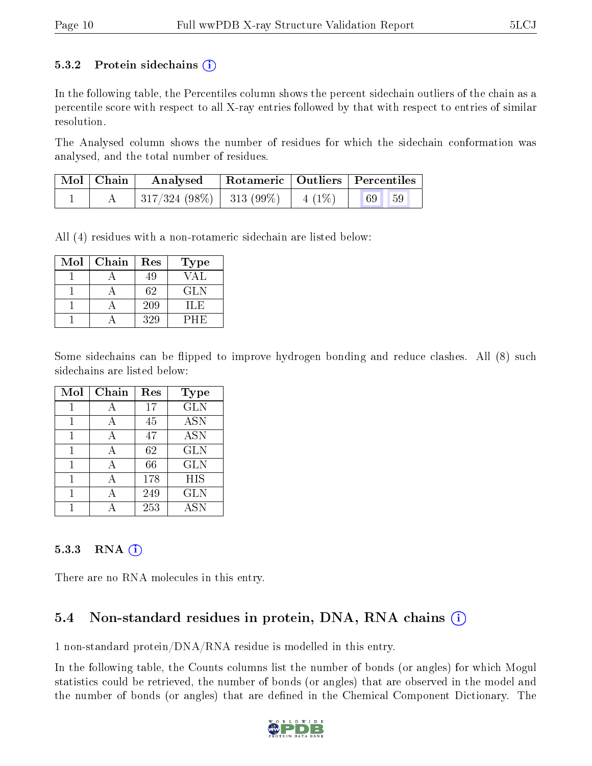#### 5.3.2 Protein sidechains  $(i)$

In the following table, the Percentiles column shows the percent sidechain outliers of the chain as a percentile score with respect to all X-ray entries followed by that with respect to entries of similar resolution.

The Analysed column shows the number of residues for which the sidechain conformation was analysed, and the total number of residues.

| $\mid$ Mol $\mid$ Chain $\mid$ | Analysed Rotameric   Outliers   Percentiles                      |  |       |  |
|--------------------------------|------------------------------------------------------------------|--|-------|--|
|                                | $\mid 317/324 \; (98\%) \mid 313 \; (99\%) \mid 4 \; (1\%) \mid$ |  | 69 59 |  |

All (4) residues with a non-rotameric sidechain are listed below:

| Mol | Chain | Res | Type       |
|-----|-------|-----|------------|
|     |       | 49  | VAL        |
|     |       | 62  | <b>GLN</b> |
|     |       | 209 | H.E        |
|     |       | 329 | PHE        |

Some sidechains can be flipped to improve hydrogen bonding and reduce clashes. All (8) such sidechains are listed below:

| Mol | Chain | Res | <b>Type</b>           |
|-----|-------|-----|-----------------------|
|     |       | 17  | <b>GLN</b>            |
|     | А     | 45  | <b>ASN</b>            |
| 1   | A     | 47  | <b>ASN</b>            |
|     | А     | 62  | <b>GLN</b>            |
|     |       | 66  | <b>GLN</b>            |
|     | А     | 178 | <b>HIS</b>            |
|     |       | 249 | <b>GLN</b>            |
|     |       | 253 | $\overline{\rm{ASN}}$ |

#### 5.3.3 RNA (1)

There are no RNA molecules in this entry.

### 5.4 Non-standard residues in protein, DNA, RNA chains (i)

1 non-standard protein/DNA/RNA residue is modelled in this entry.

In the following table, the Counts columns list the number of bonds (or angles) for which Mogul statistics could be retrieved, the number of bonds (or angles) that are observed in the model and the number of bonds (or angles) that are defined in the Chemical Component Dictionary. The

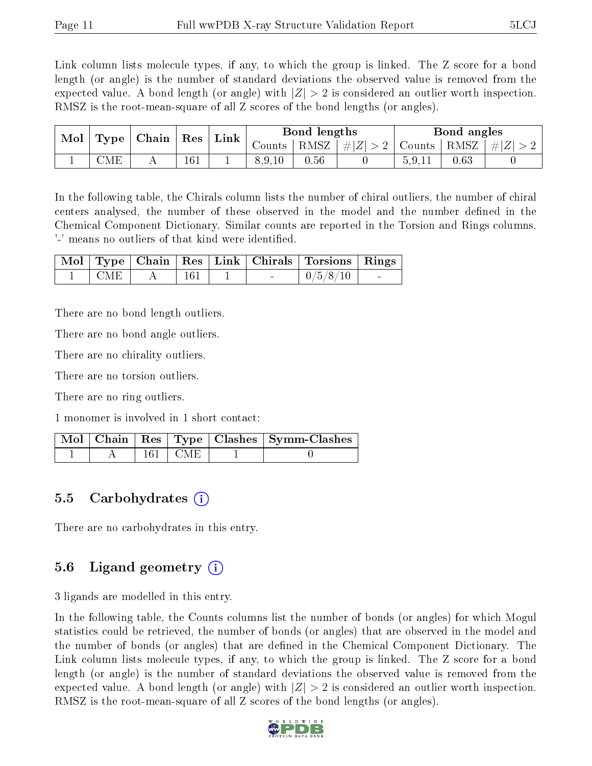Link column lists molecule types, if any, to which the group is linked. The Z score for a bond length (or angle) is the number of standard deviations the observed value is removed from the expected value. A bond length (or angle) with  $|Z| > 2$  is considered an outlier worth inspection. RMSZ is the root-mean-square of all Z scores of the bond lengths (or angles).

| Mol | Type       | $\mid$ Chain $\mid$ Res |     | Link |        | Bond lengths                      |                                                     |        | Bond angles |         |
|-----|------------|-------------------------|-----|------|--------|-----------------------------------|-----------------------------------------------------|--------|-------------|---------|
|     |            |                         |     |      | Counts | $^{\mathrm{+}}$ RMSZ $\mathrm{+}$ | $\left  \frac{1}{2} \right  \leq 2$   Counts   RMSZ |        |             | $\# Z $ |
|     | <b>CME</b> |                         | 161 |      | 8,9,10 | 0.56                              |                                                     | 5,9,11 | 0.63        |         |

In the following table, the Chirals column lists the number of chiral outliers, the number of chiral centers analysed, the number of these observed in the model and the number defined in the Chemical Component Dictionary. Similar counts are reported in the Torsion and Rings columns. '-' means no outliers of that kind were identified.

|            |     |  | Mol   Type   Chain   Res   Link   Chirals   Torsions   Rings |  |
|------------|-----|--|--------------------------------------------------------------|--|
| <b>CME</b> | 161 |  | 0/5/8/10                                                     |  |

There are no bond length outliers.

There are no bond angle outliers.

There are no chirality outliers.

There are no torsion outliers.

There are no ring outliers.

1 monomer is involved in 1 short contact:

|  |           | Mol   Chain   Res   Type   Clashes   Symm-Clashes |
|--|-----------|---------------------------------------------------|
|  | 161 L CME |                                                   |

#### 5.5 Carbohydrates  $(i)$

There are no carbohydrates in this entry.

### 5.6 Ligand geometry  $(i)$

3 ligands are modelled in this entry.

In the following table, the Counts columns list the number of bonds (or angles) for which Mogul statistics could be retrieved, the number of bonds (or angles) that are observed in the model and the number of bonds (or angles) that are dened in the Chemical Component Dictionary. The Link column lists molecule types, if any, to which the group is linked. The Z score for a bond length (or angle) is the number of standard deviations the observed value is removed from the expected value. A bond length (or angle) with  $|Z| > 2$  is considered an outlier worth inspection. RMSZ is the root-mean-square of all Z scores of the bond lengths (or angles).

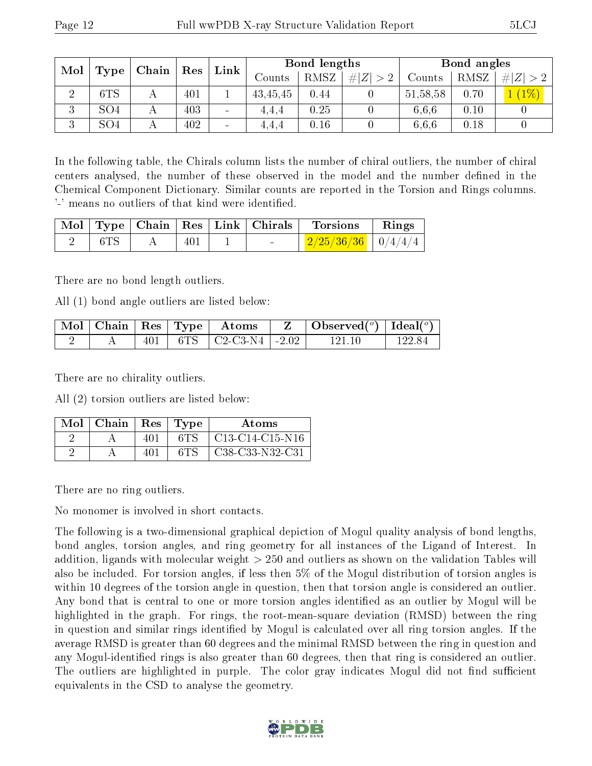| Mol    | Type            | $\parallel$ Chain $\parallel$ | ${\rm Res}$ | Link            |          | Bond lengths |             |          | Bond angles |             |
|--------|-----------------|-------------------------------|-------------|-----------------|----------|--------------|-------------|----------|-------------|-------------|
|        |                 |                               |             |                 | Counts   | RMSZ         | # $ Z  > 2$ | Counts   | RMSZ        | Z  <br>$>2$ |
| ച      | 6TS             |                               | 401         |                 | 43,45,45 | 0.44         |             | 51,58,58 | 0.70        | $(1\%)$     |
| ച<br>Ű | SO <sub>4</sub> |                               | 403         | $\blacksquare$  | 4.4.4    | 0.25         |             | 6.6.6    | 0.10        |             |
| J.     | SO <sub>4</sub> |                               | 402         | $\qquad \qquad$ | 4.4.4    | 0.16         |             | 6.6.6    | 0.18        |             |

In the following table, the Chirals column lists the number of chiral outliers, the number of chiral centers analysed, the number of these observed in the model and the number defined in the Chemical Component Dictionary. Similar counts are reported in the Torsion and Rings columns. '-' means no outliers of that kind were identified.

|     |  |  | $\lceil$ Mol $\lceil$ Type $\lceil$ Chain $\lceil$ Res $\lceil$ Link $\lceil$ Chirals $\lceil$ Torsions | $\parallel$ Rings |
|-----|--|--|---------------------------------------------------------------------------------------------------------|-------------------|
| 6TS |  |  | $\mid$ 2/25/36/36 $\mid$ 0/4/4/4 $\mid$                                                                 |                   |

There are no bond length outliers.

All (1) bond angle outliers are listed below:

|  |  | $\sqrt{\text{Mol}}$ Chain Res $\sqrt{\text{Type}}$ Atoms | $\vert$ Observed $({}^o)$ $\vert$ Ideal $({}^o)$ |        |
|--|--|----------------------------------------------------------|--------------------------------------------------|--------|
|  |  | $401$   6TS   C2-C3-N4   -2.02                           | 121-10                                           | 122.84 |

There are no chirality outliers.

All (2) torsion outliers are listed below:

| $Mol$   Chain   Res   Type |     |     | Atoms                                                              |
|----------------------------|-----|-----|--------------------------------------------------------------------|
|                            | 401 | 6TS | $\mid$ C13-C14-C15-N16                                             |
|                            | 401 | 6TS | C <sub>38</sub> -C <sub>33</sub> -N <sub>32</sub> -C <sub>31</sub> |

There are no ring outliers.

No monomer is involved in short contacts.

The following is a two-dimensional graphical depiction of Mogul quality analysis of bond lengths, bond angles, torsion angles, and ring geometry for all instances of the Ligand of Interest. In addition, ligands with molecular weight > 250 and outliers as shown on the validation Tables will also be included. For torsion angles, if less then 5% of the Mogul distribution of torsion angles is within 10 degrees of the torsion angle in question, then that torsion angle is considered an outlier. Any bond that is central to one or more torsion angles identified as an outlier by Mogul will be highlighted in the graph. For rings, the root-mean-square deviation (RMSD) between the ring in question and similar rings identified by Mogul is calculated over all ring torsion angles. If the average RMSD is greater than 60 degrees and the minimal RMSD between the ring in question and any Mogul-identified rings is also greater than 60 degrees, then that ring is considered an outlier. The outliers are highlighted in purple. The color gray indicates Mogul did not find sufficient equivalents in the CSD to analyse the geometry.

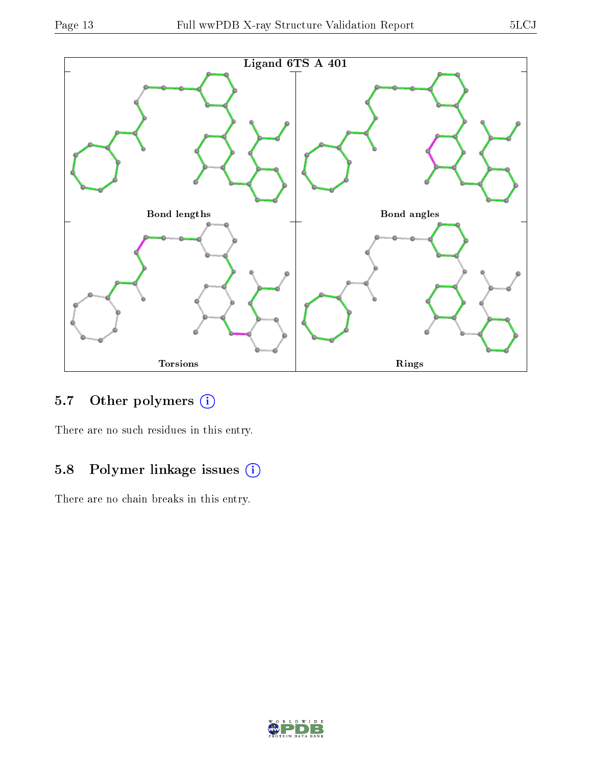

## 5.7 [O](https://www.wwpdb.org/validation/2017/XrayValidationReportHelp#nonstandard_residues_and_ligands)ther polymers (i)

There are no such residues in this entry.

### 5.8 Polymer linkage issues (i)

There are no chain breaks in this entry.

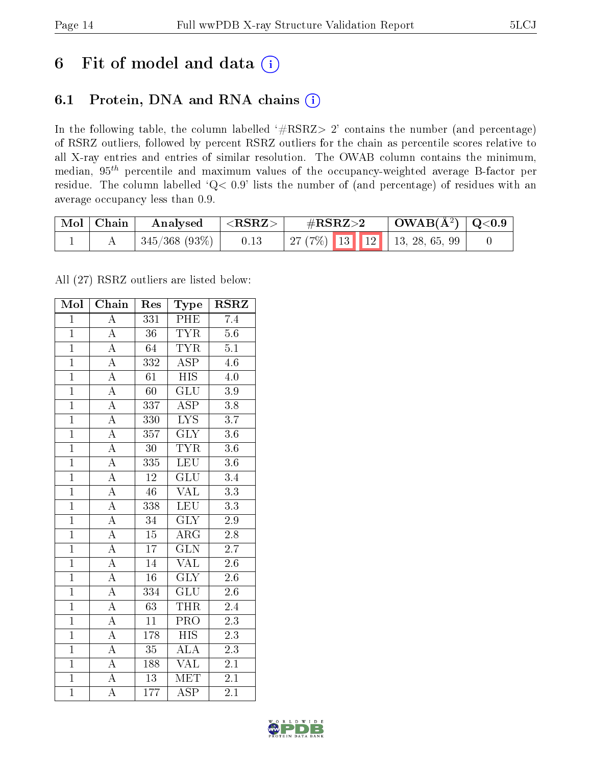## 6 Fit of model and data  $(i)$

### 6.1 Protein, DNA and RNA chains  $(i)$

In the following table, the column labelled  $#RSRZ> 2'$  contains the number (and percentage) of RSRZ outliers, followed by percent RSRZ outliers for the chain as percentile scores relative to all X-ray entries and entries of similar resolution. The OWAB column contains the minimum, median,  $95<sup>th</sup>$  percentile and maximum values of the occupancy-weighted average B-factor per residue. The column labelled ' $Q< 0.9$ ' lists the number of (and percentage) of residues with an average occupancy less than 0.9.

| $\mid$ Mol $\mid$ Chain | Analysed                       | ${ <\hspace{-1.5pt} {\rm RSRZ}\hspace{-1.5pt}>}$ | $\#RSRZ\!\!>\!2$                   | $\vert$ OWAB( $\rm \AA^2)$ $\vert$ Q<0.9 |  |
|-------------------------|--------------------------------|--------------------------------------------------|------------------------------------|------------------------------------------|--|
|                         | $^+$ 345/368 (93%) $\parallel$ | 0.13                                             | 27 (7%)   13   12   13, 28, 65, 99 |                                          |  |

All (27) RSRZ outliers are listed below:

| Mol            | Chain              | Res              | Type                      | <b>RSRZ</b>      |  |
|----------------|--------------------|------------------|---------------------------|------------------|--|
| $\overline{1}$ | $\overline{A}$     | 331              | PHE                       | 7.4              |  |
| $\overline{1}$ | $\overline{\rm A}$ | $\overline{36}$  | <b>TYR</b>                | 5.6              |  |
| $\overline{1}$ | $\overline{A}$     | 64               | <b>TYR</b>                | $\overline{5.1}$ |  |
| $\overline{1}$ | $\overline{A}$     | 332              | <b>ASP</b>                | $4.6\,$          |  |
| $\overline{1}$ | $\overline{\rm A}$ | $\overline{61}$  | $\overline{\mathrm{HIS}}$ | $4.0\,$          |  |
| $\overline{1}$ | $\overline{A}$     | $\overline{60}$  | $\overline{{\rm GLU}}$    | $\overline{3.9}$ |  |
| $\overline{1}$ | $\overline{A}$     | 337              | $\overline{\text{ASP}}$   | $\overline{3.8}$ |  |
| $\overline{1}$ | $\overline{A}$     | 330              | $\overline{\text{LYS}}$   | $\overline{3.7}$ |  |
| $\overline{1}$ | $\overline{\rm A}$ | 357              | $\overline{\text{GLY}}$   | $3.6\,$          |  |
| $\overline{1}$ | $\overline{A}$     | 30               | <b>TYR</b>                | $\overline{3.6}$ |  |
| $\overline{1}$ | $\overline{\rm A}$ | $\overline{335}$ | $\overline{\text{LEU}}$   | $\overline{3.6}$ |  |
| $\overline{1}$ | $\overline{A}$     | $\overline{12}$  | $\overline{\mathrm{GLU}}$ | 3.4              |  |
| $\overline{1}$ | $\overline{A}$     | $\overline{46}$  | <b>VAL</b>                | $\overline{3.3}$ |  |
| $\overline{1}$ | $\overline{\rm A}$ | 338              | <b>LEU</b>                | $\overline{3.3}$ |  |
| $\overline{1}$ | $\overline{A}$     | $\overline{34}$  | $\overline{\text{GLY}}$   | $\overline{2.9}$ |  |
| $\overline{1}$ | $\overline{A}$     | $\overline{15}$  | $\rm{ARG}$                | $\overline{2.8}$ |  |
| $\overline{1}$ | $\overline{A}$     | $\overline{17}$  | $\overline{\text{GLN}}$   | 2.7              |  |
| $\overline{1}$ | $\overline{\rm A}$ | $14\,$           | $\overline{\text{VAL}}$   | 2.6              |  |
| $\overline{1}$ | $\overline{\rm A}$ | $\overline{16}$  | $\overline{\text{GLY}}$   | $\overline{2.6}$ |  |
| $\overline{1}$ | $\overline{A}$     | 334              | $\overline{\text{GLU}}$   | $2.\overline{6}$ |  |
| $\overline{1}$ | $\overline{A}$     | 63               | <b>THR</b>                | 2.4              |  |
| $\overline{1}$ | $\overline{A}$     | $\overline{11}$  | $\overline{\mathrm{PRO}}$ | $\overline{2.3}$ |  |
| $\overline{1}$ | $\overline{\rm A}$ | 178              | $\overline{\rm HIS}$      | $\overline{2.3}$ |  |
| $\overline{1}$ | $\overline{A}$     | $\overline{35}$  | $\overline{\rm ALA}$      | 2.3              |  |
| $\overline{1}$ | $\overline{A}$     | 188              | <b>VAL</b>                | $\overline{2.1}$ |  |
| $\overline{1}$ | $\overline{\rm A}$ | $\overline{13}$  | $\overline{\text{MET}}$   | 2.1              |  |
| $\overline{1}$ | $\overline{\rm A}$ | 177              | $\overline{\rm ASP}$      | 2.1              |  |

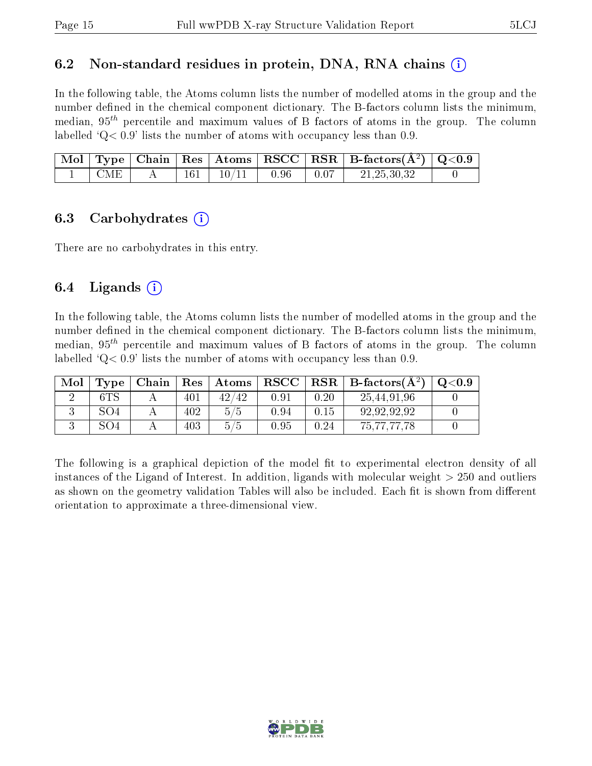#### 6.2 Non-standard residues in protein, DNA, RNA chains  $(i)$

In the following table, the Atoms column lists the number of modelled atoms in the group and the number defined in the chemical component dictionary. The B-factors column lists the minimum, median,  $95<sup>th</sup>$  percentile and maximum values of B factors of atoms in the group. The column labelled  $Q < 0.9$ ' lists the number of atoms with occupancy less than 0.9.

|            |     |       |      |      | $\vert$ Mol $\vert$ Type $\vert$ Chain $\vert$ Res $\vert$ Atoms $\vert$ RSCC $\vert$ RSR $\vert$ B-factors(A <sup>2</sup> ) $\vert$ Q<0.9 |  |
|------------|-----|-------|------|------|--------------------------------------------------------------------------------------------------------------------------------------------|--|
| <b>CME</b> | 161 | 10/11 | 0.96 | 0.07 | 21, 25, 30, 32                                                                                                                             |  |

#### 6.3 Carbohydrates (i)

There are no carbohydrates in this entry.

### 6.4 Ligands  $(i)$

In the following table, the Atoms column lists the number of modelled atoms in the group and the number defined in the chemical component dictionary. The B-factors column lists the minimum, median,  $95<sup>th</sup>$  percentile and maximum values of B factors of atoms in the group. The column labelled  $Q< 0.9$ ' lists the number of atoms with occupancy less than 0.9.

| Mol | $\bf Type$ | Chain | Res | $\vert$ Atoms | $_{\rm RSCC}$ |          | $\overline{R}$ RSR   B-factors( $\AA^2$ ) | $\mathrm{O}{<}0.9$ |
|-----|------------|-------|-----|---------------|---------------|----------|-------------------------------------------|--------------------|
|     | 6TS        |       | 401 | 42/42         | 0.91          | $0.20\,$ | 25,44,91,96                               |                    |
|     | SO4        |       | 402 | 5/5           | 0.94          | 0.15     | 92,92,92,92                               |                    |
|     | SO4        |       | 403 | 5/5           | 0.95          | 0.24     | 75,77,77,78                               |                    |

The following is a graphical depiction of the model fit to experimental electron density of all instances of the Ligand of Interest. In addition, ligands with molecular weight  $> 250$  and outliers as shown on the geometry validation Tables will also be included. Each fit is shown from different orientation to approximate a three-dimensional view.